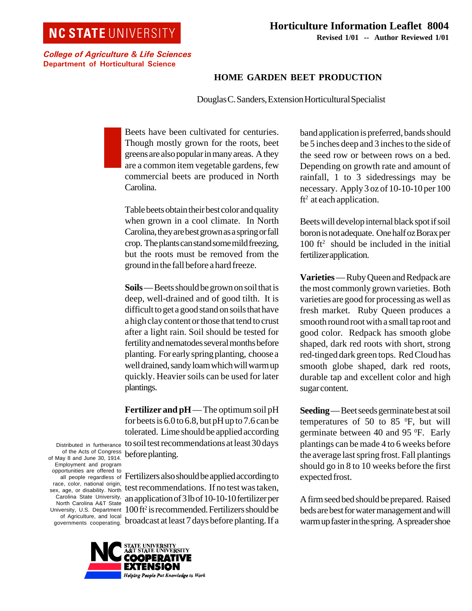## **NC STATE UNIVERSITY**

College of Agriculture & Life Sciences Department of Horticultural Science

## **Horticulture Information Leaflet 8004 Revised 1/01 -- Author Reviewed 1/01**

## **HOME GARDEN BEET PRODUCTION**

Douglas C. Sanders, Extension Horticultural Specialist

Beets have been cultivated for centuries. Though mostly grown for the roots, beet greens are also popular in many areas. A they are a common item vegetable gardens, few commercial beets are produced in North Carolina.

Table beets obtain their best color and quality when grown in a cool climate. In North Carolina, they are best grown as a spring or fall crop. The plants can stand some mild freezing, but the roots must be removed from the ground in the fall before a hard freeze.

**Soils** — Beets should be grown on soil that is deep, well-drained and of good tilth. It is difficult to get a good stand on soils that have a high clay content or those that tend to crust after a light rain. Soil should be tested for fertility and nematodes several months before planting. For early spring planting, choose a well drained, sandy loam which will warm up quickly. Heavier soils can be used for later plantings.

**Fertilizer and pH** — The optimum soil pH for beets is 6.0 to 6.8, but pH up to 7.6 can be tolerated. Lime should be applied according to soil test recommendations at least 30 days before planting.

Fertilizers also should be applied according to test recommendations. If no test was taken, an application of 3 lb of 10-10-10 fertilizer per 100 ft2 is recommended. Fertilizers should be broadcast at least 7 days before planting. If a

UNIVERSITY<br>TATE UNIVERSITY EXTENSION Helping People Put Knowledge to Work

band application is preferred, bands should be 5 inches deep and 3 inches to the side of the seed row or between rows on a bed. Depending on growth rate and amount of rainfall, 1 to 3 sidedressings may be necessary. Apply 3 oz of 10-10-10 per 100  $ft<sup>2</sup>$  at each application.

Beets will develop internal black spot if soil boron is not adequate. One half oz Borax per  $100$  ft<sup>2</sup> should be included in the initial fertilizer application.

**Varieties** — Ruby Queen and Redpack are the most commonly grown varieties. Both varieties are good for processing as well as fresh market. Ruby Queen produces a smooth round root with a small tap root and good color. Redpack has smooth globe shaped, dark red roots with short, strong red-tinged dark green tops. Red Cloud has smooth globe shaped, dark red roots, durable tap and excellent color and high sugar content.

**Seeding** — Beet seeds germinate best at soil temperatures of 50 to 85 $\degree$ F, but will germinate between 40 and 95 °F. Early plantings can be made 4 to 6 weeks before the average last spring frost. Fall plantings should go in 8 to 10 weeks before the first expected frost.

A firm seed bed should be prepared. Raised beds are best for water management and will warm up faster in the spring. A spreader shoe

Distributed in furtherance of the Acts of Congress of May 8 and June 30, 1914. Employment and program opportunities are offered to all people regardless of race, color, national origin, sex, age, or disability. North Carolina State University, North Carolina A&T State University, U.S. Department of Agriculture, and local governments cooperating.